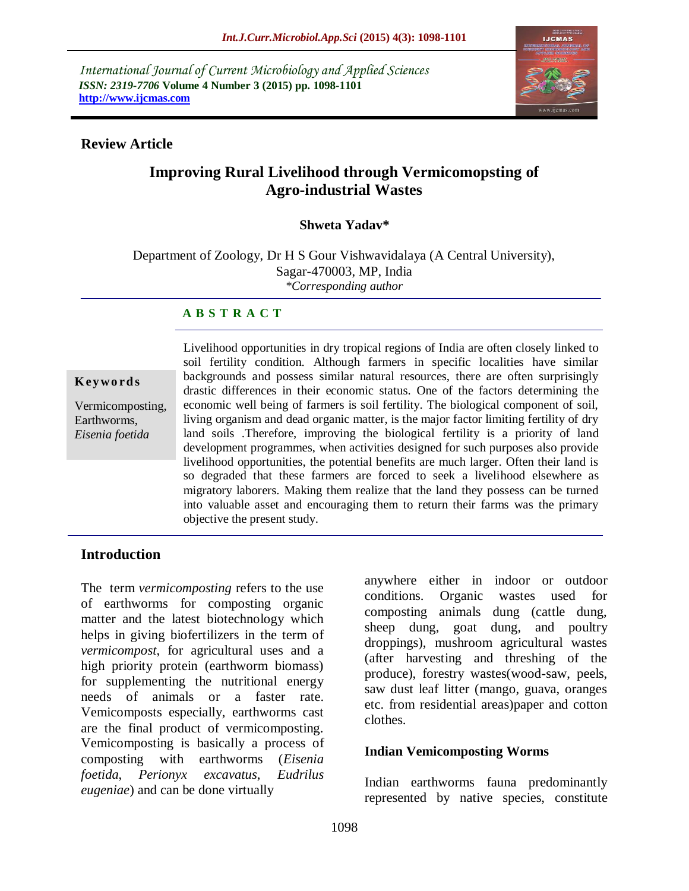*International Journal of Current Microbiology and Applied Sciences ISSN: 2319-7706* **Volume 4 Number 3 (2015) pp. 1098-1101 http://www.ijcmas.com** 



#### **Review Article**

# **Improving Rural Livelihood through Vermicomopsting of Agro-industrial Wastes**

#### **Shweta Yadav\***

Department of Zoology, Dr H S Gour Vishwavidalaya (A Central University), Sagar-470003, MP, India *\*Corresponding author*

#### **A B S T R A C T**

#### **K ey w o rd s**

Vermicomposting, Earthworms, *Eisenia foetida*

Livelihood opportunities in dry tropical regions of India are often closely linked to soil fertility condition. Although farmers in specific localities have similar backgrounds and possess similar natural resources, there are often surprisingly drastic differences in their economic status. One of the factors determining the economic well being of farmers is soil fertility. The biological component of soil, living organism and dead organic matter, is the major factor limiting fertility of dry land soils .Therefore, improving the biological fertility is a priority of land development programmes, when activities designed for such purposes also provide livelihood opportunities, the potential benefits are much larger. Often their land is so degraded that these farmers are forced to seek a livelihood elsewhere as migratory laborers. Making them realize that the land they possess can be turned into valuable asset and encouraging them to return their farms was the primary objective the present study.

#### **Introduction**

The term *vermicomposting* refers to the use of earthworms for composting organic matter and the latest biotechnology which helps in giving biofertilizers in the term of *vermicompost*, for agricultural uses and a high priority protein (earthworm biomass) for supplementing the nutritional energy needs of animals or a faster rate. Vemicomposts especially, earthworms cast are the final product of vermicomposting. Vemicomposting is basically a process of composting with earthworms (*Eisenia foetida*, *Perionyx excavatus*, *Eudrilus eugeniae*) and can be done virtually

anywhere either in indoor or outdoor conditions. Organic wastes used for composting animals dung (cattle dung, sheep dung, goat dung, and poultry droppings), mushroom agricultural wastes (after harvesting and threshing of the produce), forestry wastes(wood-saw, peels, saw dust leaf litter (mango, guava, oranges etc. from residential areas)paper and cotton clothes.

#### **Indian Vemicomposting Worms**

Indian earthworms fauna predominantly represented by native species, constitute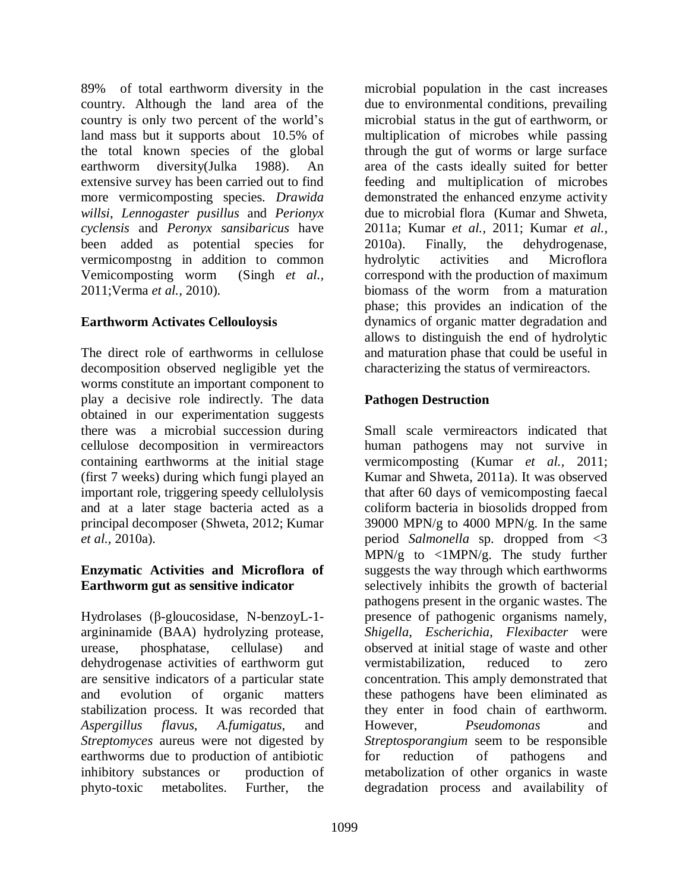89% of total earthworm diversity in the country. Although the land area of the country is only two percent of the world's land mass but it supports about 10.5% of the total known species of the global earthworm diversity(Julka 1988). An extensive survey has been carried out to find more vermicomposting species. *Drawida willsi*, *Lennogaster pusillus* and *Perionyx cyclensis* and *Peronyx sansibaricus* have been added as potential species for vermicompostng in addition to common Vemicomposting worm (Singh *et al.,*  2011;Verma *et al.,* 2010).

# **Earthworm Activates Cellouloysis**

The direct role of earthworms in cellulose decomposition observed negligible yet the worms constitute an important component to play a decisive role indirectly. The data obtained in our experimentation suggests there was a microbial succession during cellulose decomposition in vermireactors containing earthworms at the initial stage (first 7 weeks) during which fungi played an important role, triggering speedy cellulolysis and at a later stage bacteria acted as a principal decomposer (Shweta, 2012; Kumar *et al.,* 2010a).

#### **Enzymatic Activities and Microflora of Earthworm gut as sensitive indicator**

Hydrolases (β-gloucosidase, N-benzoyL-1 argininamide (BAA) hydrolyzing protease, urease, phosphatase, cellulase) and dehydrogenase activities of earthworm gut are sensitive indicators of a particular state and evolution of organic matters stabilization process. It was recorded that *Aspergillus flavus*, *A.fumigatus*, and *Streptomyces* aureus were not digested by earthworms due to production of antibiotic inhibitory substances or production of phyto-toxic metabolites. Further, the

microbial population in the cast increases due to environmental conditions, prevailing microbial status in the gut of earthworm, or multiplication of microbes while passing through the gut of worms or large surface area of the casts ideally suited for better feeding and multiplication of microbes demonstrated the enhanced enzyme activity due to microbial flora (Kumar and Shweta, 2011a; Kumar *et al.,* 2011; Kumar *et al.,*  2010a). Finally, the dehydrogenase, hydrolytic activities and Microflora correspond with the production of maximum biomass of the worm from a maturation phase; this provides an indication of the dynamics of organic matter degradation and allows to distinguish the end of hydrolytic and maturation phase that could be useful in characterizing the status of vermireactors.

# **Pathogen Destruction**

Small scale vermireactors indicated that human pathogens may not survive in vermicomposting (Kumar *et al.,* 2011; Kumar and Shweta, 2011a). It was observed that after 60 days of vemicomposting faecal coliform bacteria in biosolids dropped from 39000 MPN/g to 4000 MPN/g. In the same period *Salmonella* sp. dropped from <3  $MPN/g$  to  $\langle 1MPN/g$ . The study further suggests the way through which earthworms selectively inhibits the growth of bacterial pathogens present in the organic wastes. The presence of pathogenic organisms namely, *Shigella*, *Escherichia*, *Flexibacter* were observed at initial stage of waste and other vermistabilization, reduced to zero concentration. This amply demonstrated that these pathogens have been eliminated as they enter in food chain of earthworm. However, *Pseudomonas* and *Streptosporangium* seem to be responsible for reduction of pathogens and metabolization of other organics in waste degradation process and availability of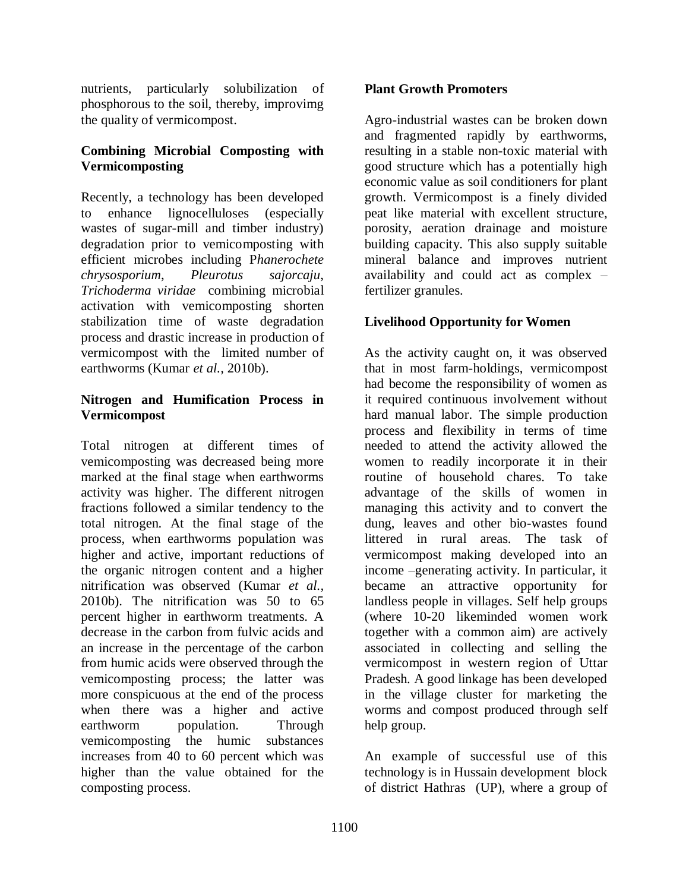nutrients, particularly solubilization of phosphorous to the soil, thereby, improvimg the quality of vermicompost.

# **Combining Microbial Composting with Vermicomposting**

Recently, a technology has been developed to enhance lignocelluloses (especially wastes of sugar-mill and timber industry) degradation prior to vemicomposting with efficient microbes including P*hanerochete chrysosporium*, *Pleurotus sajorcaju*, *Trichoderma viridae* combining microbial activation with vemicomposting shorten stabilization time of waste degradation process and drastic increase in production of vermicompost with the limited number of earthworms (Kumar *et al.,* 2010b).

### **Nitrogen and Humification Process in Vermicompost**

Total nitrogen at different times of vemicomposting was decreased being more marked at the final stage when earthworms activity was higher. The different nitrogen fractions followed a similar tendency to the total nitrogen. At the final stage of the process, when earthworms population was higher and active, important reductions of the organic nitrogen content and a higher nitrification was observed (Kumar *et al.,*  2010b). The nitrification was 50 to 65 percent higher in earthworm treatments. A decrease in the carbon from fulvic acids and an increase in the percentage of the carbon from humic acids were observed through the vemicomposting process; the latter was more conspicuous at the end of the process when there was a higher and active earthworm population. Through vemicomposting the humic substances increases from 40 to 60 percent which was higher than the value obtained for the composting process.

#### **Plant Growth Promoters**

Agro-industrial wastes can be broken down and fragmented rapidly by earthworms, resulting in a stable non-toxic material with good structure which has a potentially high economic value as soil conditioners for plant growth. Vermicompost is a finely divided peat like material with excellent structure, porosity, aeration drainage and moisture building capacity. This also supply suitable mineral balance and improves nutrient availability and could act as complex – fertilizer granules.

# **Livelihood Opportunity for Women**

As the activity caught on, it was observed that in most farm-holdings, vermicompost had become the responsibility of women as it required continuous involvement without hard manual labor. The simple production process and flexibility in terms of time needed to attend the activity allowed the women to readily incorporate it in their routine of household chares. To take advantage of the skills of women in managing this activity and to convert the dung, leaves and other bio-wastes found littered in rural areas. The task of vermicompost making developed into an income –generating activity. In particular, it became an attractive opportunity for landless people in villages. Self help groups (where 10-20 likeminded women work together with a common aim) are actively associated in collecting and selling the vermicompost in western region of Uttar Pradesh. A good linkage has been developed in the village cluster for marketing the worms and compost produced through self help group.

An example of successful use of this technology is in Hussain development block of district Hathras (UP), where a group of